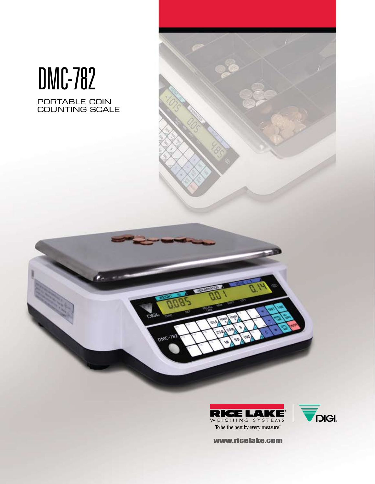# DMC-782

PORTABLE COIN COUNTING SCALE



 $DWC-183$ 



www.ricelake.com